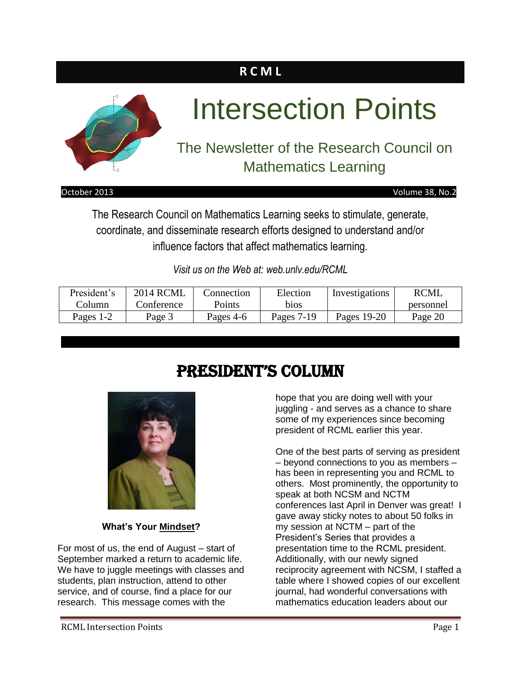### **R C M L**



# Intersection Points

### The Newsletter of the Research Council on Mathematics Learning

#### October 2013 Volume 38, No.2

The Research Council on Mathematics Learning seeks to stimulate, generate, coordinate, and disseminate research efforts designed to understand and/or influence factors that affect mathematics learning.

*Visit us on the Web at: web.unlv.edu/RCML*

| President's | <b>2014 RCML</b> | Connection | Election   | Investigations | <b>RCML</b> |
|-------------|------------------|------------|------------|----------------|-------------|
| Column      | Conference       | Points     | bios       |                | personnel   |
| Pages 1-2   | Page 3           | Pages 4-6  | Pages 7-19 | Pages 19-20    | Page 20     |

### President's Column



#### **What's Your Mindset?**

For most of us, the end of August – start of September marked a return to academic life. We have to juggle meetings with classes and students, plan instruction, attend to other service, and of course, find a place for our research. This message comes with the

hope that you are doing well with your juggling - and serves as a chance to share some of my experiences since becoming president of RCML earlier this year.

One of the best parts of serving as president – beyond connections to you as members – has been in representing you and RCML to others. Most prominently, the opportunity to speak at both NCSM and NCTM conferences last April in Denver was great! I gave away sticky notes to about 50 folks in my session at NCTM – part of the President's Series that provides a presentation time to the RCML president. Additionally, with our newly signed reciprocity agreement with NCSM, I staffed a table where I showed copies of our excellent journal, had wonderful conversations with mathematics education leaders about our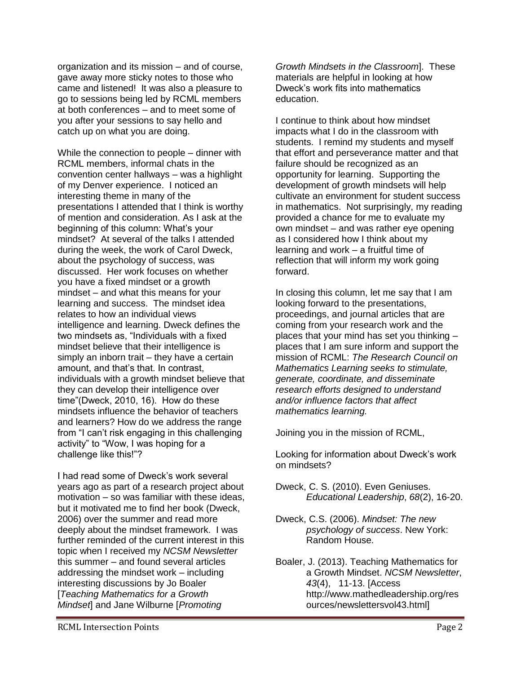organization and its mission – and of course, gave away more sticky notes to those who came and listened! It was also a pleasure to go to sessions being led by RCML members at both conferences – and to meet some of you after your sessions to say hello and catch up on what you are doing.

While the connection to people – dinner with RCML members, informal chats in the convention center hallways – was a highlight of my Denver experience. I noticed an interesting theme in many of the presentations I attended that I think is worthy of mention and consideration. As I ask at the beginning of this column: What's your mindset? At several of the talks I attended during the week, the work of Carol Dweck, about the psychology of success, was discussed. Her work focuses on whether you have a fixed mindset or a growth mindset – and what this means for your learning and success. The mindset idea relates to how an individual views intelligence and learning. Dweck defines the two mindsets as, "Individuals with a fixed mindset believe that their intelligence is simply an inborn trait – they have a certain amount, and that's that. In contrast, individuals with a growth mindset believe that they can develop their intelligence over time"(Dweck, 2010, 16). How do these mindsets influence the behavior of teachers and learners? How do we address the range from "I can't risk engaging in this challenging activity" to "Wow, I was hoping for a challenge like this!"?

I had read some of Dweck's work several years ago as part of a research project about motivation – so was familiar with these ideas, but it motivated me to find her book (Dweck, 2006) over the summer and read more deeply about the mindset framework. I was further reminded of the current interest in this topic when I received my *NCSM Newsletter* this summer – and found several articles addressing the mindset work – including interesting discussions by Jo Boaler [*Teaching Mathematics for a Growth Mindset*] and Jane Wilburne [*Promoting* 

*Growth Mindsets in the Classroom*]. These materials are helpful in looking at how Dweck's work fits into mathematics education.

I continue to think about how mindset impacts what I do in the classroom with students. I remind my students and myself that effort and perseverance matter and that failure should be recognized as an opportunity for learning. Supporting the development of growth mindsets will help cultivate an environment for student success in mathematics. Not surprisingly, my reading provided a chance for me to evaluate my own mindset – and was rather eye opening as I considered how I think about my learning and work – a fruitful time of reflection that will inform my work going forward.

In closing this column, let me say that I am looking forward to the presentations, proceedings, and journal articles that are coming from your research work and the places that your mind has set you thinking – places that I am sure inform and support the mission of RCML: *The Research Council on Mathematics Learning seeks to stimulate, generate, coordinate, and disseminate research efforts designed to understand and/or influence factors that affect mathematics learning.*

Joining you in the mission of RCML,

Looking for information about Dweck's work on mindsets?

Dweck, C. S. (2010). Even Geniuses. *Educational Leadership*, *68*(2), 16-20.

Dweck, C.S. (2006). *Mindset: The new psychology of success*. New York: Random House.

Boaler, J. (2013). Teaching Mathematics for a Growth Mindset. *NCSM Newsletter*, *43*(4), 11-13. [Access http://www.mathedleadership.org/res ources/newslettersvol43.html]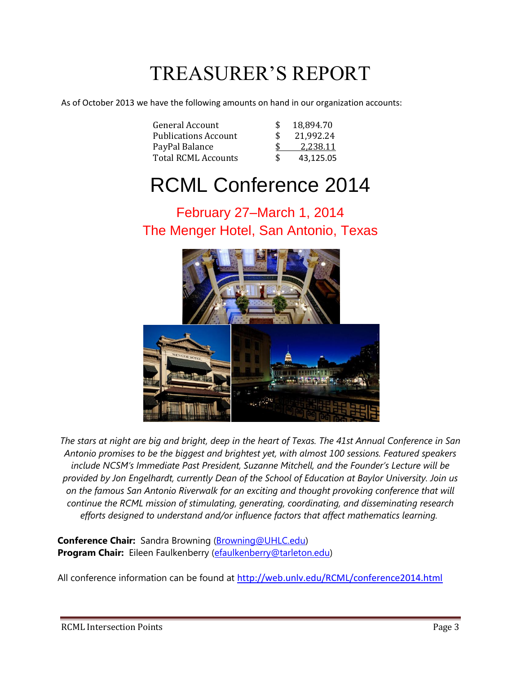## TREASURER'S REPORT

As of October 2013 we have the following amounts on hand in our organization accounts:

| General Account             |     | 18,894.70 |
|-----------------------------|-----|-----------|
| <b>Publications Account</b> |     | 21,992.24 |
| PayPal Balance              |     | 2,238.11  |
| <b>Total RCML Accounts</b>  | \$. | 43,125.05 |

### RCML Conference 2014

### February 27–March 1, 2014 The Menger Hotel, San Antonio, Texas





*The stars at night are big and bright, deep in the heart of Texas. The 41st Annual Conference in San Antonio promises to be the biggest and brightest yet, with almost 100 sessions. Featured speakers include NCSM's Immediate Past President, Suzanne Mitchell, and the Founder's Lecture will be provided by Jon Engelhardt, currently Dean of the School of Education at Baylor University. Join us on the famous San Antonio Riverwalk for an exciting and thought provoking conference that will continue the RCML mission of stimulating, generating, coordinating, and disseminating research efforts designed to understand and/or influence factors that affect mathematics learning.*

**Conference Chair:** Sandra Browning [\(Browning@UHLC.edu\)](mailto:Browning@UHLC.edu) **Program Chair:** Eileen Faulkenberry [\(efaulkenberry@tarleton.edu\)](mailto:efaulkenberry@tarleton.edu)

All conference information can be found at [http://web.unlv.edu/RCML/conference2014.html](https://email.wku.edu/owa/redir.aspx?C=aacf04e38368437299a502252e720def&URL=http%3a%2f%2fweb.unlv.edu%2fRCML%2fconference2014.html)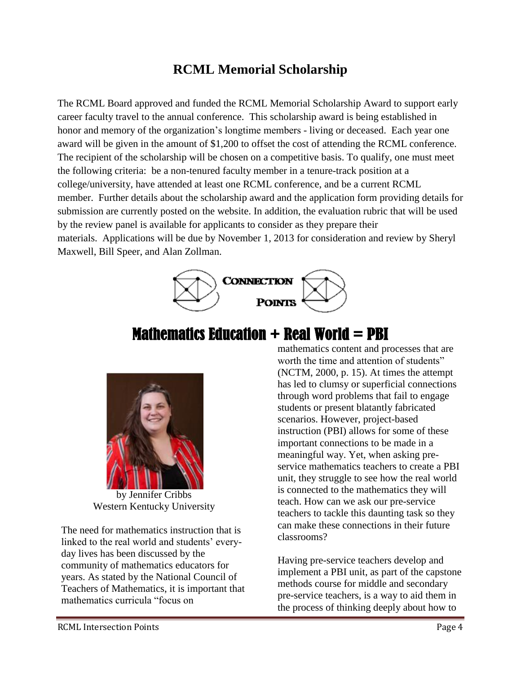### **RCML Memorial Scholarship**

The RCML Board approved and funded the RCML Memorial Scholarship Award to support early career faculty travel to the annual conference. This scholarship award is being established in honor and memory of the organization's longtime members - living or deceased. Each year one award will be given in the amount of \$1,200 to offset the cost of attending the RCML conference. The recipient of the scholarship will be chosen on a competitive basis. To qualify, one must meet the following criteria: be a non-tenured faculty member in a tenure-track position at a college/university, have attended at least one RCML conference, and be a current RCML member. Further details about the scholarship award and the application form providing details for submission are currently posted on the website. In addition, the evaluation rubric that will be used by the review panel is available for applicants to consider as they prepare their materials. Applications will be due by November 1, 2013 for consideration and review by Sheryl Maxwell, Bill Speer, and Alan Zollman.



### **Mathematics Education**  $+$  **Real World**  $=$  **PBI**



by Jennifer Cribbs Western Kentucky University

The need for mathematics instruction that is linked to the real world and students' everyday lives has been discussed by the community of mathematics educators for years. As stated by the National Council of Teachers of Mathematics, it is important that mathematics curricula "focus on

mathematics content and processes that are worth the time and attention of students" (NCTM, 2000, p. 15). At times the attempt has led to clumsy or superficial connections through word problems that fail to engage students or present blatantly fabricated scenarios. However, project-based instruction (PBI) allows for some of these important connections to be made in a meaningful way. Yet, when asking preservice mathematics teachers to create a PBI unit, they struggle to see how the real world is connected to the mathematics they will teach. How can we ask our pre-service teachers to tackle this daunting task so they can make these connections in their future classrooms?

Having pre-service teachers develop and implement a PBI unit, as part of the capstone methods course for middle and secondary pre-service teachers, is a way to aid them in the process of thinking deeply about how to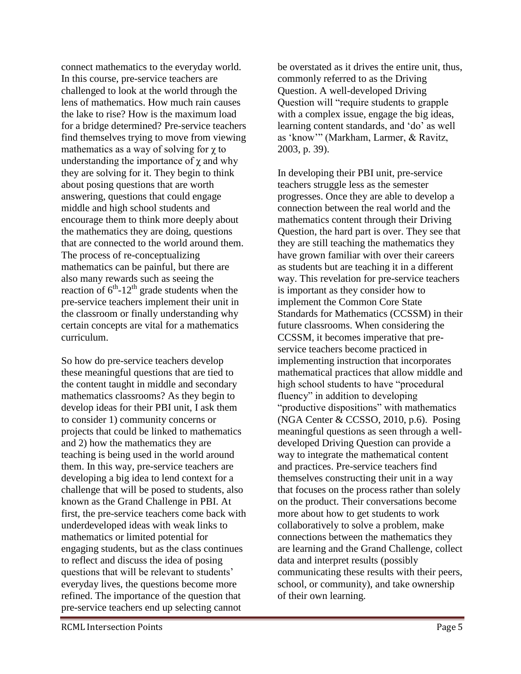connect mathematics to the everyday world. In this course, pre-service teachers are challenged to look at the world through the lens of mathematics. How much rain causes the lake to rise? How is the maximum load for a bridge determined? Pre-service teachers find themselves trying to move from viewing mathematics as a way of solving for  $\chi$  to understanding the importance of  $\chi$  and why they are solving for it. They begin to think about posing questions that are worth answering, questions that could engage middle and high school students and encourage them to think more deeply about the mathematics they are doing, questions that are connected to the world around them. The process of re-conceptualizing mathematics can be painful, but there are also many rewards such as seeing the reaction of  $6^{th}$ -12<sup>th</sup> grade students when the pre-service teachers implement their unit in the classroom or finally understanding why certain concepts are vital for a mathematics curriculum.

So how do pre-service teachers develop these meaningful questions that are tied to the content taught in middle and secondary mathematics classrooms? As they begin to develop ideas for their PBI unit, I ask them to consider 1) community concerns or projects that could be linked to mathematics and 2) how the mathematics they are teaching is being used in the world around them. In this way, pre-service teachers are developing a big idea to lend context for a challenge that will be posed to students, also known as the Grand Challenge in PBI. At first, the pre-service teachers come back with underdeveloped ideas with weak links to mathematics or limited potential for engaging students, but as the class continues to reflect and discuss the idea of posing questions that will be relevant to students' everyday lives, the questions become more refined. The importance of the question that pre-service teachers end up selecting cannot

be overstated as it drives the entire unit, thus, commonly referred to as the Driving Question. A well-developed Driving Question will "require students to grapple with a complex issue, engage the big ideas, learning content standards, and 'do' as well as 'know'" (Markham, Larmer, & Ravitz, 2003, p. 39).

In developing their PBI unit, pre-service teachers struggle less as the semester progresses. Once they are able to develop a connection between the real world and the mathematics content through their Driving Question, the hard part is over. They see that they are still teaching the mathematics they have grown familiar with over their careers as students but are teaching it in a different way. This revelation for pre-service teachers is important as they consider how to implement the Common Core State Standards for Mathematics (CCSSM) in their future classrooms. When considering the CCSSM, it becomes imperative that preservice teachers become practiced in implementing instruction that incorporates mathematical practices that allow middle and high school students to have "procedural fluency" in addition to developing "productive dispositions" with mathematics (NGA Center & CCSSO, 2010, p.6). Posing meaningful questions as seen through a welldeveloped Driving Question can provide a way to integrate the mathematical content and practices. Pre-service teachers find themselves constructing their unit in a way that focuses on the process rather than solely on the product. Their conversations become more about how to get students to work collaboratively to solve a problem, make connections between the mathematics they are learning and the Grand Challenge, collect data and interpret results (possibly communicating these results with their peers, school, or community), and take ownership of their own learning.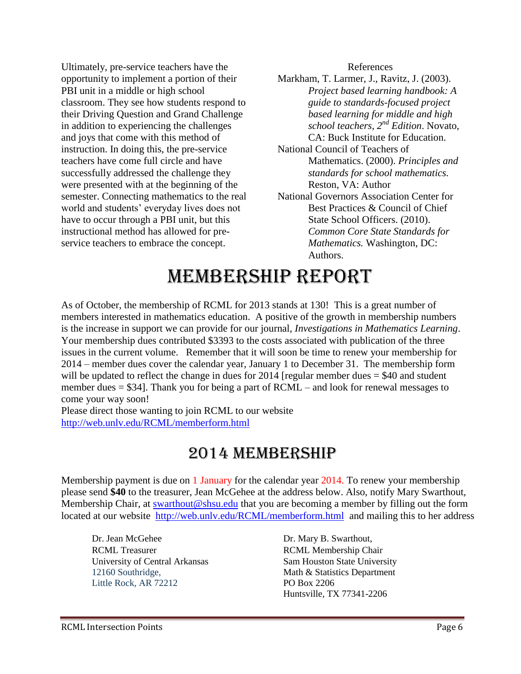Ultimately, pre-service teachers have the opportunity to implement a portion of their PBI unit in a middle or high school classroom. They see how students respond to their Driving Question and Grand Challenge in addition to experiencing the challenges and joys that come with this method of instruction. In doing this, the pre-service teachers have come full circle and have successfully addressed the challenge they were presented with at the beginning of the semester. Connecting mathematics to the real world and students' everyday lives does not have to occur through a PBI unit, but this instructional method has allowed for preservice teachers to embrace the concept.

References

Markham, T. Larmer, J., Ravitz, J. (2003). *Project based learning handbook: A guide to standards-focused project based learning for middle and high school teachers, 2nd Edition*. Novato, CA: Buck Institute for Education. National Council of Teachers of Mathematics. (2000). *Principles and standards for school mathematics.* Reston, VA: Author National Governors Association Center for Best Practices & Council of Chief State School Officers. (2010). *Common Core State Standards for Mathematics.* Washington, DC: Authors.

## MEMBERSHIP REPORT

As of October, the membership of RCML for 2013 stands at 130! This is a great number of members interested in mathematics education. A positive of the growth in membership numbers is the increase in support we can provide for our journal, *Investigations in Mathematics Learning*. Your membership dues contributed \$3393 to the costs associated with publication of the three issues in the current volume. Remember that it will soon be time to renew your membership for 2014 – member dues cover the calendar year, January 1 to December 31. The membership form will be updated to reflect the change in dues for 2014 [regular member dues = \$40 and student member dues = \$34]. Thank you for being a part of RCML – and look for renewal messages to come your way soon!

Please direct those wanting to join RCML to our website <http://web.unlv.edu/RCML/memberform.html>

### 2014 MEMBERSHIP

Membership payment is due on 1 January for the calendar year 2014. To renew your membership please send **\$40** to the treasurer, Jean McGehee at the address below. Also, notify Mary Swarthout, Membership Chair, at [swarthout@shsu.edu](mailto:swarthout@shsu.edu) that you are becoming a member by filling out the form located at our website http://web.unly.edu/RCML/memberform.html and mailing this to her address

Dr. Jean McGehee Dr. Mary B. Swarthout, RCML Treasurer RCML Membership Chair University of Central Arkansas Sam Houston State University 12160 Southridge, Math & Statistics Department Little Rock, AR 72212 PO Box 2206

Huntsville, TX 77341-2206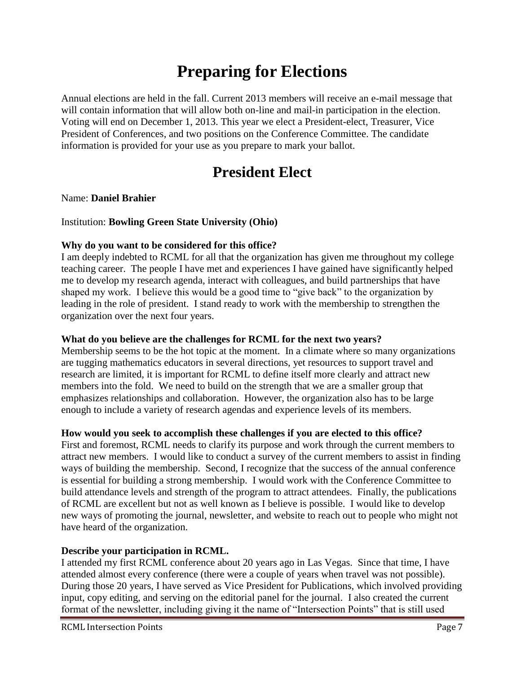### **Preparing for Elections**

Annual elections are held in the fall. Current 2013 members will receive an e-mail message that will contain information that will allow both on-line and mail-in participation in the election. Voting will end on December 1, 2013. This year we elect a President-elect, Treasurer, Vice President of Conferences, and two positions on the Conference Committee. The candidate information is provided for your use as you prepare to mark your ballot.

### **President Elect**

#### Name: **Daniel Brahier**

#### Institution: **Bowling Green State University (Ohio)**

#### **Why do you want to be considered for this office?**

I am deeply indebted to RCML for all that the organization has given me throughout my college teaching career. The people I have met and experiences I have gained have significantly helped me to develop my research agenda, interact with colleagues, and build partnerships that have shaped my work. I believe this would be a good time to "give back" to the organization by leading in the role of president. I stand ready to work with the membership to strengthen the organization over the next four years.

#### **What do you believe are the challenges for RCML for the next two years?**

Membership seems to be the hot topic at the moment. In a climate where so many organizations are tugging mathematics educators in several directions, yet resources to support travel and research are limited, it is important for RCML to define itself more clearly and attract new members into the fold. We need to build on the strength that we are a smaller group that emphasizes relationships and collaboration. However, the organization also has to be large enough to include a variety of research agendas and experience levels of its members.

#### **How would you seek to accomplish these challenges if you are elected to this office?**

First and foremost, RCML needs to clarify its purpose and work through the current members to attract new members. I would like to conduct a survey of the current members to assist in finding ways of building the membership. Second, I recognize that the success of the annual conference is essential for building a strong membership. I would work with the Conference Committee to build attendance levels and strength of the program to attract attendees. Finally, the publications of RCML are excellent but not as well known as I believe is possible. I would like to develop new ways of promoting the journal, newsletter, and website to reach out to people who might not have heard of the organization.

#### **Describe your participation in RCML.**

I attended my first RCML conference about 20 years ago in Las Vegas. Since that time, I have attended almost every conference (there were a couple of years when travel was not possible). During those 20 years, I have served as Vice President for Publications, which involved providing input, copy editing, and serving on the editorial panel for the journal. I also created the current format of the newsletter, including giving it the name of "Intersection Points" that is still used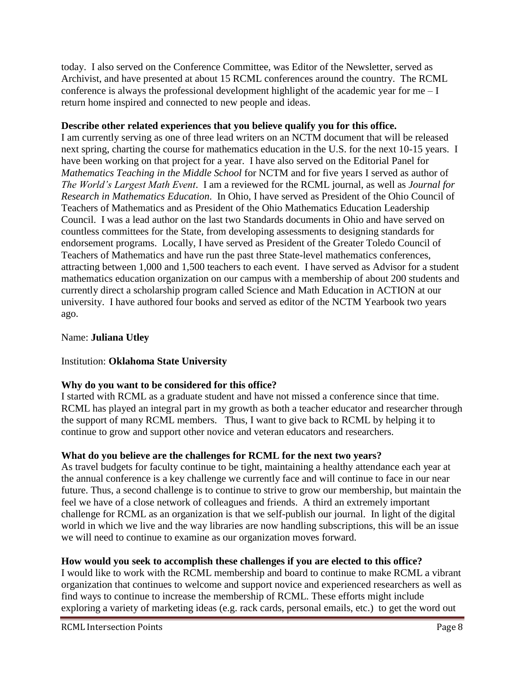today. I also served on the Conference Committee, was Editor of the Newsletter, served as Archivist, and have presented at about 15 RCML conferences around the country. The RCML conference is always the professional development highlight of the academic year for me  $-I$ return home inspired and connected to new people and ideas.

#### **Describe other related experiences that you believe qualify you for this office.**

I am currently serving as one of three lead writers on an NCTM document that will be released next spring, charting the course for mathematics education in the U.S. for the next 10-15 years. I have been working on that project for a year. I have also served on the Editorial Panel for *Mathematics Teaching in the Middle School* for NCTM and for five years I served as author of *The World's Largest Math Event*. I am a reviewed for the RCML journal, as well as *Journal for Research in Mathematics Education*. In Ohio, I have served as President of the Ohio Council of Teachers of Mathematics and as President of the Ohio Mathematics Education Leadership Council. I was a lead author on the last two Standards documents in Ohio and have served on countless committees for the State, from developing assessments to designing standards for endorsement programs. Locally, I have served as President of the Greater Toledo Council of Teachers of Mathematics and have run the past three State-level mathematics conferences, attracting between 1,000 and 1,500 teachers to each event. I have served as Advisor for a student mathematics education organization on our campus with a membership of about 200 students and currently direct a scholarship program called Science and Math Education in ACTION at our university. I have authored four books and served as editor of the NCTM Yearbook two years ago.

#### Name: **Juliana Utley**

#### Institution: **Oklahoma State University**

#### **Why do you want to be considered for this office?**

I started with RCML as a graduate student and have not missed a conference since that time. RCML has played an integral part in my growth as both a teacher educator and researcher through the support of many RCML members. Thus, I want to give back to RCML by helping it to continue to grow and support other novice and veteran educators and researchers.

#### **What do you believe are the challenges for RCML for the next two years?**

As travel budgets for faculty continue to be tight, maintaining a healthy attendance each year at the annual conference is a key challenge we currently face and will continue to face in our near future. Thus, a second challenge is to continue to strive to grow our membership, but maintain the feel we have of a close network of colleagues and friends. A third an extremely important challenge for RCML as an organization is that we self-publish our journal. In light of the digital world in which we live and the way libraries are now handling subscriptions, this will be an issue we will need to continue to examine as our organization moves forward.

#### **How would you seek to accomplish these challenges if you are elected to this office?**

I would like to work with the RCML membership and board to continue to make RCML a vibrant organization that continues to welcome and support novice and experienced researchers as well as find ways to continue to increase the membership of RCML. These efforts might include exploring a variety of marketing ideas (e.g. rack cards, personal emails, etc.) to get the word out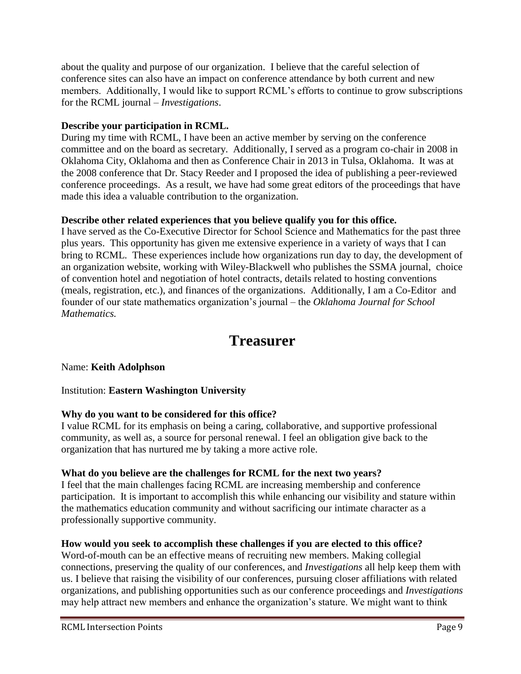about the quality and purpose of our organization. I believe that the careful selection of conference sites can also have an impact on conference attendance by both current and new members. Additionally, I would like to support RCML's efforts to continue to grow subscriptions for the RCML journal – *Investigations*.

#### **Describe your participation in RCML.**

During my time with RCML, I have been an active member by serving on the conference committee and on the board as secretary. Additionally, I served as a program co-chair in 2008 in Oklahoma City, Oklahoma and then as Conference Chair in 2013 in Tulsa, Oklahoma. It was at the 2008 conference that Dr. Stacy Reeder and I proposed the idea of publishing a peer-reviewed conference proceedings. As a result, we have had some great editors of the proceedings that have made this idea a valuable contribution to the organization.

#### **Describe other related experiences that you believe qualify you for this office.**

I have served as the Co-Executive Director for School Science and Mathematics for the past three plus years. This opportunity has given me extensive experience in a variety of ways that I can bring to RCML. These experiences include how organizations run day to day, the development of an organization website, working with Wiley-Blackwell who publishes the SSMA journal, choice of convention hotel and negotiation of hotel contracts, details related to hosting conventions (meals, registration, etc.), and finances of the organizations. Additionally, I am a Co-Editor and founder of our state mathematics organization's journal – the *Oklahoma Journal for School Mathematics.* 

### **Treasurer**

#### Name: **Keith Adolphson**

#### Institution: **Eastern Washington University**

#### **Why do you want to be considered for this office?**

I value RCML for its emphasis on being a caring, collaborative, and supportive professional community, as well as, a source for personal renewal. I feel an obligation give back to the organization that has nurtured me by taking a more active role.

#### **What do you believe are the challenges for RCML for the next two years?**

I feel that the main challenges facing RCML are increasing membership and conference participation. It is important to accomplish this while enhancing our visibility and stature within the mathematics education community and without sacrificing our intimate character as a professionally supportive community.

#### **How would you seek to accomplish these challenges if you are elected to this office?**

Word-of-mouth can be an effective means of recruiting new members. Making collegial connections, preserving the quality of our conferences, and *Investigations* all help keep them with us. I believe that raising the visibility of our conferences, pursuing closer affiliations with related organizations, and publishing opportunities such as our conference proceedings and *Investigations* may help attract new members and enhance the organization's stature. We might want to think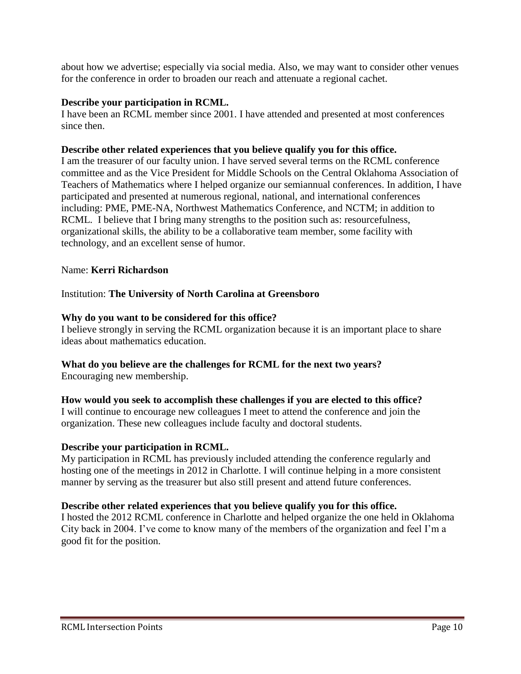about how we advertise; especially via social media. Also, we may want to consider other venues for the conference in order to broaden our reach and attenuate a regional cachet.

#### **Describe your participation in RCML.**

I have been an RCML member since 2001. I have attended and presented at most conferences since then.

#### **Describe other related experiences that you believe qualify you for this office.**

I am the treasurer of our faculty union. I have served several terms on the RCML conference committee and as the Vice President for Middle Schools on the Central Oklahoma Association of Teachers of Mathematics where I helped organize our semiannual conferences. In addition, I have participated and presented at numerous regional, national, and international conferences including: PME, PME-NA, Northwest Mathematics Conference, and NCTM; in addition to RCML. I believe that I bring many strengths to the position such as: resourcefulness, organizational skills, the ability to be a collaborative team member, some facility with technology, and an excellent sense of humor.

#### Name: **Kerri Richardson**

#### Institution: **The University of North Carolina at Greensboro**

#### **Why do you want to be considered for this office?**

I believe strongly in serving the RCML organization because it is an important place to share ideas about mathematics education.

#### **What do you believe are the challenges for RCML for the next two years?**

Encouraging new membership.

#### **How would you seek to accomplish these challenges if you are elected to this office?**

I will continue to encourage new colleagues I meet to attend the conference and join the organization. These new colleagues include faculty and doctoral students.

#### **Describe your participation in RCML.**

My participation in RCML has previously included attending the conference regularly and hosting one of the meetings in 2012 in Charlotte. I will continue helping in a more consistent manner by serving as the treasurer but also still present and attend future conferences.

#### **Describe other related experiences that you believe qualify you for this office.**

I hosted the 2012 RCML conference in Charlotte and helped organize the one held in Oklahoma City back in 2004. I've come to know many of the members of the organization and feel I'm a good fit for the position.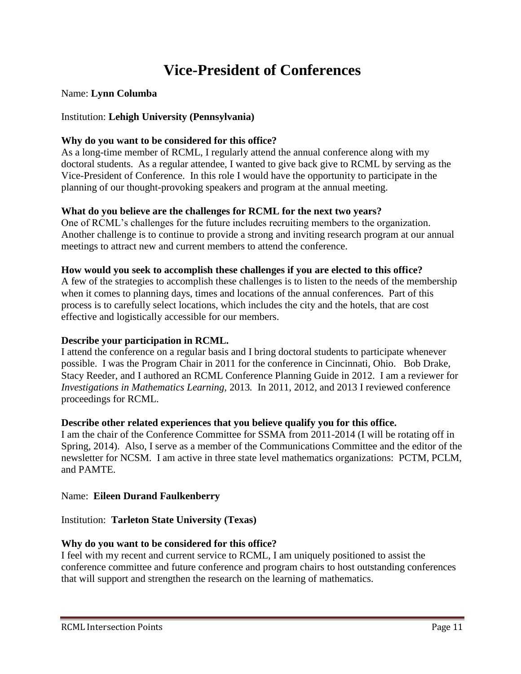### **Vice-President of Conferences**

#### Name: **Lynn Columba**

#### Institution: **Lehigh University (Pennsylvania)**

#### **Why do you want to be considered for this office?**

As a long-time member of RCML, I regularly attend the annual conference along with my doctoral students. As a regular attendee, I wanted to give back give to RCML by serving as the Vice-President of Conference. In this role I would have the opportunity to participate in the planning of our thought-provoking speakers and program at the annual meeting.

#### **What do you believe are the challenges for RCML for the next two years?**

One of RCML's challenges for the future includes recruiting members to the organization. Another challenge is to continue to provide a strong and inviting research program at our annual meetings to attract new and current members to attend the conference.

#### **How would you seek to accomplish these challenges if you are elected to this office?**

A few of the strategies to accomplish these challenges is to listen to the needs of the membership when it comes to planning days, times and locations of the annual conferences. Part of this process is to carefully select locations, which includes the city and the hotels, that are cost effective and logistically accessible for our members.

#### **Describe your participation in RCML.**

I attend the conference on a regular basis and I bring doctoral students to participate whenever possible. I was the Program Chair in 2011 for the conference in Cincinnati, Ohio. Bob Drake, Stacy Reeder, and I authored an RCML Conference Planning Guide in 2012. I am a reviewer for *Investigations in Mathematics Learning,* 2013*.* In 2011, 2012, and 2013 I reviewed conference proceedings for RCML.

#### **Describe other related experiences that you believe qualify you for this office.**

I am the chair of the Conference Committee for SSMA from 2011-2014 (I will be rotating off in Spring, 2014). Also, I serve as a member of the Communications Committee and the editor of the newsletter for NCSM. I am active in three state level mathematics organizations: PCTM, PCLM, and PAMTE.

#### Name: **Eileen Durand Faulkenberry**

#### Institution: **Tarleton State University (Texas)**

#### **Why do you want to be considered for this office?**

I feel with my recent and current service to RCML, I am uniquely positioned to assist the conference committee and future conference and program chairs to host outstanding conferences that will support and strengthen the research on the learning of mathematics.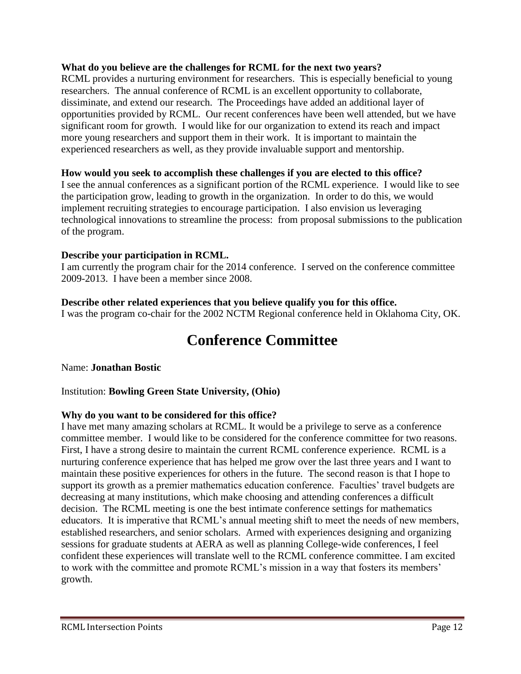#### **What do you believe are the challenges for RCML for the next two years?**

RCML provides a nurturing environment for researchers. This is especially beneficial to young researchers. The annual conference of RCML is an excellent opportunity to collaborate, dissiminate, and extend our research. The Proceedings have added an additional layer of opportunities provided by RCML. Our recent conferences have been well attended, but we have significant room for growth. I would like for our organization to extend its reach and impact more young researchers and support them in their work. It is important to maintain the experienced researchers as well, as they provide invaluable support and mentorship.

#### **How would you seek to accomplish these challenges if you are elected to this office?**

I see the annual conferences as a significant portion of the RCML experience. I would like to see the participation grow, leading to growth in the organization. In order to do this, we would implement recruiting strategies to encourage participation. I also envision us leveraging technological innovations to streamline the process: from proposal submissions to the publication of the program.

#### **Describe your participation in RCML.**

I am currently the program chair for the 2014 conference. I served on the conference committee 2009-2013. I have been a member since 2008.

#### **Describe other related experiences that you believe qualify you for this office.**

I was the program co-chair for the 2002 NCTM Regional conference held in Oklahoma City, OK.

### **Conference Committee**

#### Name: **Jonathan Bostic**

#### Institution: **Bowling Green State University, (Ohio)**

#### **Why do you want to be considered for this office?**

I have met many amazing scholars at RCML. It would be a privilege to serve as a conference committee member. I would like to be considered for the conference committee for two reasons. First, I have a strong desire to maintain the current RCML conference experience. RCML is a nurturing conference experience that has helped me grow over the last three years and I want to maintain these positive experiences for others in the future. The second reason is that I hope to support its growth as a premier mathematics education conference. Faculties' travel budgets are decreasing at many institutions, which make choosing and attending conferences a difficult decision. The RCML meeting is one the best intimate conference settings for mathematics educators. It is imperative that RCML's annual meeting shift to meet the needs of new members, established researchers, and senior scholars. Armed with experiences designing and organizing sessions for graduate students at AERA as well as planning College-wide conferences, I feel confident these experiences will translate well to the RCML conference committee. I am excited to work with the committee and promote RCML's mission in a way that fosters its members' growth.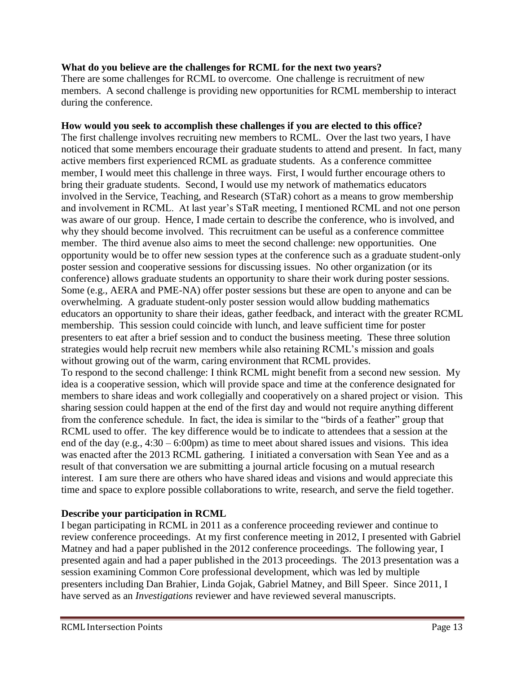#### **What do you believe are the challenges for RCML for the next two years?**

There are some challenges for RCML to overcome. One challenge is recruitment of new members. A second challenge is providing new opportunities for RCML membership to interact during the conference.

#### **How would you seek to accomplish these challenges if you are elected to this office?**

The first challenge involves recruiting new members to RCML. Over the last two years, I have noticed that some members encourage their graduate students to attend and present. In fact, many active members first experienced RCML as graduate students. As a conference committee member, I would meet this challenge in three ways. First, I would further encourage others to bring their graduate students. Second, I would use my network of mathematics educators involved in the Service, Teaching, and Research (STaR) cohort as a means to grow membership and involvement in RCML. At last year's STaR meeting, I mentioned RCML and not one person was aware of our group. Hence, I made certain to describe the conference, who is involved, and why they should become involved. This recruitment can be useful as a conference committee member. The third avenue also aims to meet the second challenge: new opportunities. One opportunity would be to offer new session types at the conference such as a graduate student-only poster session and cooperative sessions for discussing issues. No other organization (or its conference) allows graduate students an opportunity to share their work during poster sessions. Some (e.g., AERA and PME-NA) offer poster sessions but these are open to anyone and can be overwhelming. A graduate student-only poster session would allow budding mathematics educators an opportunity to share their ideas, gather feedback, and interact with the greater RCML membership. This session could coincide with lunch, and leave sufficient time for poster presenters to eat after a brief session and to conduct the business meeting. These three solution strategies would help recruit new members while also retaining RCML's mission and goals without growing out of the warm, caring environment that RCML provides. To respond to the second challenge: I think RCML might benefit from a second new session. My idea is a cooperative session, which will provide space and time at the conference designated for members to share ideas and work collegially and cooperatively on a shared project or vision. This sharing session could happen at the end of the first day and would not require anything different from the conference schedule. In fact, the idea is similar to the "birds of a feather" group that RCML used to offer. The key difference would be to indicate to attendees that a session at the end of the day (e.g., 4:30 – 6:00pm) as time to meet about shared issues and visions. This idea was enacted after the 2013 RCML gathering. I initiated a conversation with Sean Yee and as a

result of that conversation we are submitting a journal article focusing on a mutual research interest. I am sure there are others who have shared ideas and visions and would appreciate this time and space to explore possible collaborations to write, research, and serve the field together.

#### **Describe your participation in RCML**

I began participating in RCML in 2011 as a conference proceeding reviewer and continue to review conference proceedings. At my first conference meeting in 2012, I presented with Gabriel Matney and had a paper published in the 2012 conference proceedings. The following year, I presented again and had a paper published in the 2013 proceedings. The 2013 presentation was a session examining Common Core professional development, which was led by multiple presenters including Dan Brahier, Linda Gojak, Gabriel Matney, and Bill Speer. Since 2011, I have served as an *Investigations* reviewer and have reviewed several manuscripts.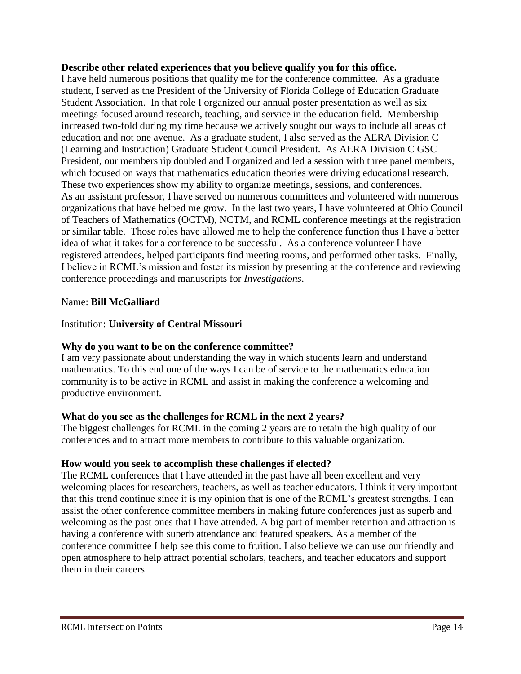#### **Describe other related experiences that you believe qualify you for this office.**

I have held numerous positions that qualify me for the conference committee. As a graduate student, I served as the President of the University of Florida College of Education Graduate Student Association. In that role I organized our annual poster presentation as well as six meetings focused around research, teaching, and service in the education field. Membership increased two-fold during my time because we actively sought out ways to include all areas of education and not one avenue. As a graduate student, I also served as the AERA Division C (Learning and Instruction) Graduate Student Council President. As AERA Division C GSC President, our membership doubled and I organized and led a session with three panel members, which focused on ways that mathematics education theories were driving educational research. These two experiences show my ability to organize meetings, sessions, and conferences. As an assistant professor, I have served on numerous committees and volunteered with numerous organizations that have helped me grow. In the last two years, I have volunteered at Ohio Council of Teachers of Mathematics (OCTM), NCTM, and RCML conference meetings at the registration or similar table. Those roles have allowed me to help the conference function thus I have a better idea of what it takes for a conference to be successful. As a conference volunteer I have registered attendees, helped participants find meeting rooms, and performed other tasks. Finally, I believe in RCML's mission and foster its mission by presenting at the conference and reviewing conference proceedings and manuscripts for *Investigations*.

#### Name: **Bill McGalliard**

#### Institution: **University of Central Missouri**

#### **Why do you want to be on the conference committee?**

I am very passionate about understanding the way in which students learn and understand mathematics. To this end one of the ways I can be of service to the mathematics education community is to be active in RCML and assist in making the conference a welcoming and productive environment.

#### **What do you see as the challenges for RCML in the next 2 years?**

The biggest challenges for RCML in the coming 2 years are to retain the high quality of our conferences and to attract more members to contribute to this valuable organization.

#### **How would you seek to accomplish these challenges if elected?**

The RCML conferences that I have attended in the past have all been excellent and very welcoming places for researchers, teachers, as well as teacher educators. I think it very important that this trend continue since it is my opinion that is one of the RCML's greatest strengths. I can assist the other conference committee members in making future conferences just as superb and welcoming as the past ones that I have attended. A big part of member retention and attraction is having a conference with superb attendance and featured speakers. As a member of the conference committee I help see this come to fruition. I also believe we can use our friendly and open atmosphere to help attract potential scholars, teachers, and teacher educators and support them in their careers.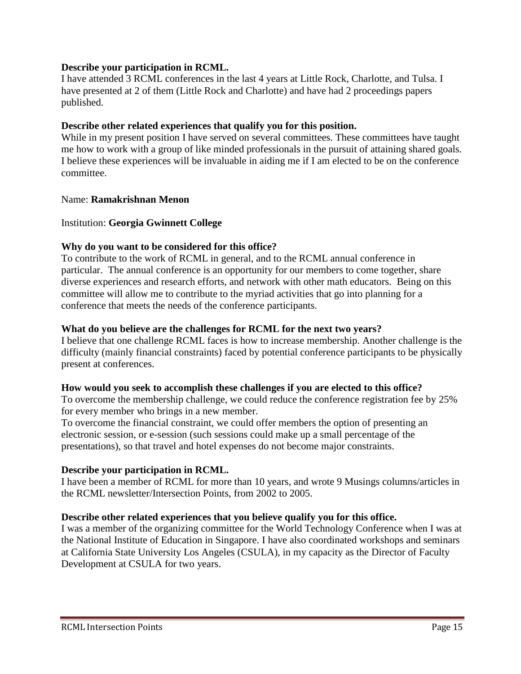#### **Describe your participation in RCML.**

I have attended 3 RCML conferences in the last 4 years at Little Rock, Charlotte, and Tulsa. I have presented at 2 of them (Little Rock and Charlotte) and have had 2 proceedings papers published.

#### **Describe other related experiences that qualify you for this position.**

While in my present position I have served on several committees. These committees have taught me how to work with a group of like minded professionals in the pursuit of attaining shared goals. I believe these experiences will be invaluable in aiding me if I am elected to be on the conference committee.

#### Name: **Ramakrishnan Menon**

#### Institution: **Georgia Gwinnett College**

#### **Why do you want to be considered for this office?**

To contribute to the work of RCML in general, and to the RCML annual conference in particular. The annual conference is an opportunity for our members to come together, share diverse experiences and research efforts, and network with other math educators. Being on this committee will allow me to contribute to the myriad activities that go into planning for a conference that meets the needs of the conference participants.

#### **What do you believe are the challenges for RCML for the next two years?**

I believe that one challenge RCML faces is how to increase membership. Another challenge is the difficulty (mainly financial constraints) faced by potential conference participants to be physically present at conferences.

#### **How would you seek to accomplish these challenges if you are elected to this office?**

To overcome the membership challenge, we could reduce the conference registration fee by 25% for every member who brings in a new member.

To overcome the financial constraint, we could offer members the option of presenting an electronic session, or e-session (such sessions could make up a small percentage of the presentations), so that travel and hotel expenses do not become major constraints.

#### **Describe your participation in RCML.**

I have been a member of RCML for more than 10 years, and wrote 9 Musings columns/articles in the RCML newsletter/Intersection Points, from 2002 to 2005.

#### **Describe other related experiences that you believe qualify you for this office.**

I was a member of the organizing committee for the World Technology Conference when I was at the National Institute of Education in Singapore. I have also coordinated workshops and seminars at California State University Los Angeles (CSULA), in my capacity as the Director of Faculty Development at CSULA for two years.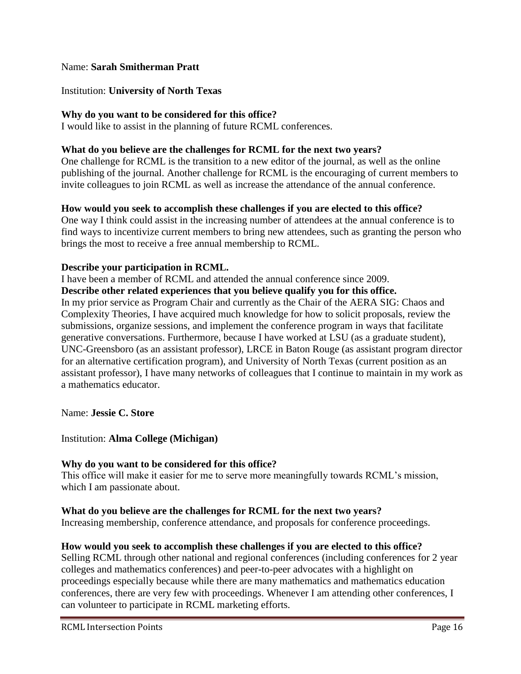#### Name: **Sarah Smitherman Pratt**

#### Institution: **University of North Texas**

#### **Why do you want to be considered for this office?**

I would like to assist in the planning of future RCML conferences.

#### **What do you believe are the challenges for RCML for the next two years?**

One challenge for RCML is the transition to a new editor of the journal, as well as the online publishing of the journal. Another challenge for RCML is the encouraging of current members to invite colleagues to join RCML as well as increase the attendance of the annual conference.

#### **How would you seek to accomplish these challenges if you are elected to this office?**

One way I think could assist in the increasing number of attendees at the annual conference is to find ways to incentivize current members to bring new attendees, such as granting the person who brings the most to receive a free annual membership to RCML.

#### **Describe your participation in RCML.**

I have been a member of RCML and attended the annual conference since 2009.

#### **Describe other related experiences that you believe qualify you for this office.**

In my prior service as Program Chair and currently as the Chair of the AERA SIG: Chaos and Complexity Theories, I have acquired much knowledge for how to solicit proposals, review the submissions, organize sessions, and implement the conference program in ways that facilitate generative conversations. Furthermore, because I have worked at LSU (as a graduate student), UNC-Greensboro (as an assistant professor), LRCE in Baton Rouge (as assistant program director for an alternative certification program), and University of North Texas (current position as an assistant professor), I have many networks of colleagues that I continue to maintain in my work as a mathematics educator.

Name: **Jessie C. Store**

#### Institution: **Alma College (Michigan)**

#### **Why do you want to be considered for this office?**

This office will make it easier for me to serve more meaningfully towards RCML's mission, which I am passionate about.

#### **What do you believe are the challenges for RCML for the next two years?**

Increasing membership, conference attendance, and proposals for conference proceedings.

#### **How would you seek to accomplish these challenges if you are elected to this office?**

Selling RCML through other national and regional conferences (including conferences for 2 year colleges and mathematics conferences) and peer-to-peer advocates with a highlight on proceedings especially because while there are many mathematics and mathematics education conferences, there are very few with proceedings. Whenever I am attending other conferences, I can volunteer to participate in RCML marketing efforts.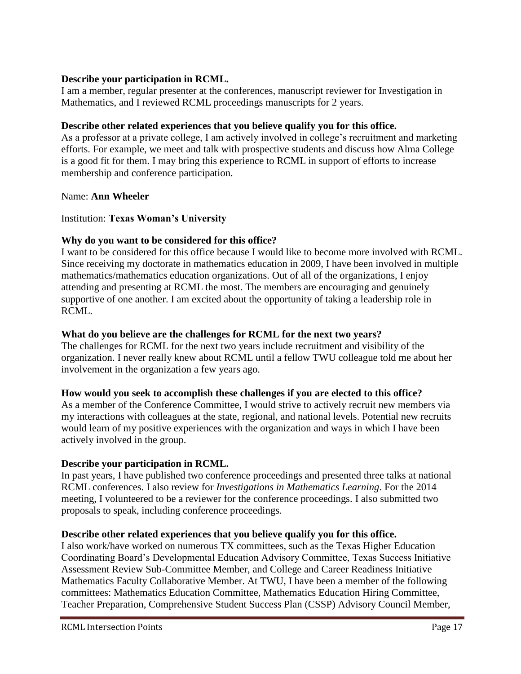#### **Describe your participation in RCML.**

I am a member, regular presenter at the conferences, manuscript reviewer for Investigation in Mathematics, and I reviewed RCML proceedings manuscripts for 2 years.

#### **Describe other related experiences that you believe qualify you for this office.**

As a professor at a private college, I am actively involved in college's recruitment and marketing efforts. For example, we meet and talk with prospective students and discuss how Alma College is a good fit for them. I may bring this experience to RCML in support of efforts to increase membership and conference participation.

#### Name: **Ann Wheeler**

#### Institution: **Texas Woman's University**

#### **Why do you want to be considered for this office?**

I want to be considered for this office because I would like to become more involved with RCML. Since receiving my doctorate in mathematics education in 2009, I have been involved in multiple mathematics/mathematics education organizations. Out of all of the organizations, I enjoy attending and presenting at RCML the most. The members are encouraging and genuinely supportive of one another. I am excited about the opportunity of taking a leadership role in RCML.

#### **What do you believe are the challenges for RCML for the next two years?**

The challenges for RCML for the next two years include recruitment and visibility of the organization. I never really knew about RCML until a fellow TWU colleague told me about her involvement in the organization a few years ago.

#### **How would you seek to accomplish these challenges if you are elected to this office?**

As a member of the Conference Committee, I would strive to actively recruit new members via my interactions with colleagues at the state, regional, and national levels. Potential new recruits would learn of my positive experiences with the organization and ways in which I have been actively involved in the group.

#### **Describe your participation in RCML.**

In past years, I have published two conference proceedings and presented three talks at national RCML conferences. I also review for *Investigations in Mathematics Learning*. For the 2014 meeting, I volunteered to be a reviewer for the conference proceedings. I also submitted two proposals to speak, including conference proceedings.

#### **Describe other related experiences that you believe qualify you for this office.**

I also work/have worked on numerous TX committees, such as the Texas Higher Education Coordinating Board's Developmental Education Advisory Committee, Texas Success Initiative Assessment Review Sub-Committee Member, and College and Career Readiness Initiative Mathematics Faculty Collaborative Member. At TWU, I have been a member of the following committees: Mathematics Education Committee, Mathematics Education Hiring Committee, Teacher Preparation, Comprehensive Student Success Plan (CSSP) Advisory Council Member,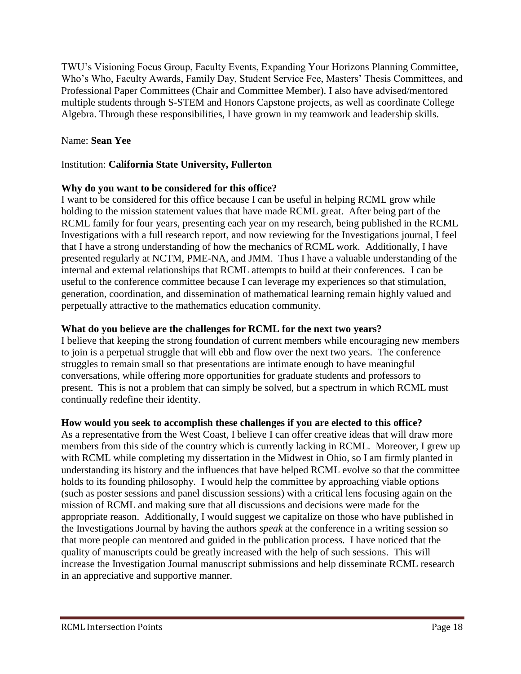TWU's Visioning Focus Group, Faculty Events, Expanding Your Horizons Planning Committee, Who's Who, Faculty Awards, Family Day, Student Service Fee, Masters' Thesis Committees, and Professional Paper Committees (Chair and Committee Member). I also have advised/mentored multiple students through S-STEM and Honors Capstone projects, as well as coordinate College Algebra. Through these responsibilities, I have grown in my teamwork and leadership skills.

#### Name: **Sean Yee**

#### Institution: **California State University, Fullerton**

#### **Why do you want to be considered for this office?**

I want to be considered for this office because I can be useful in helping RCML grow while holding to the mission statement values that have made RCML great. After being part of the RCML family for four years, presenting each year on my research, being published in the RCML Investigations with a full research report, and now reviewing for the Investigations journal, I feel that I have a strong understanding of how the mechanics of RCML work. Additionally, I have presented regularly at NCTM, PME-NA, and JMM. Thus I have a valuable understanding of the internal and external relationships that RCML attempts to build at their conferences. I can be useful to the conference committee because I can leverage my experiences so that stimulation, generation, coordination, and dissemination of mathematical learning remain highly valued and perpetually attractive to the mathematics education community.

#### **What do you believe are the challenges for RCML for the next two years?**

I believe that keeping the strong foundation of current members while encouraging new members to join is a perpetual struggle that will ebb and flow over the next two years. The conference struggles to remain small so that presentations are intimate enough to have meaningful conversations, while offering more opportunities for graduate students and professors to present. This is not a problem that can simply be solved, but a spectrum in which RCML must continually redefine their identity.

#### **How would you seek to accomplish these challenges if you are elected to this office?**

As a representative from the West Coast, I believe I can offer creative ideas that will draw more members from this side of the country which is currently lacking in RCML. Moreover, I grew up with RCML while completing my dissertation in the Midwest in Ohio, so I am firmly planted in understanding its history and the influences that have helped RCML evolve so that the committee holds to its founding philosophy. I would help the committee by approaching viable options (such as poster sessions and panel discussion sessions) with a critical lens focusing again on the mission of RCML and making sure that all discussions and decisions were made for the appropriate reason. Additionally, I would suggest we capitalize on those who have published in the Investigations Journal by having the authors *speak* at the conference in a writing session so that more people can mentored and guided in the publication process. I have noticed that the quality of manuscripts could be greatly increased with the help of such sessions. This will increase the Investigation Journal manuscript submissions and help disseminate RCML research in an appreciative and supportive manner.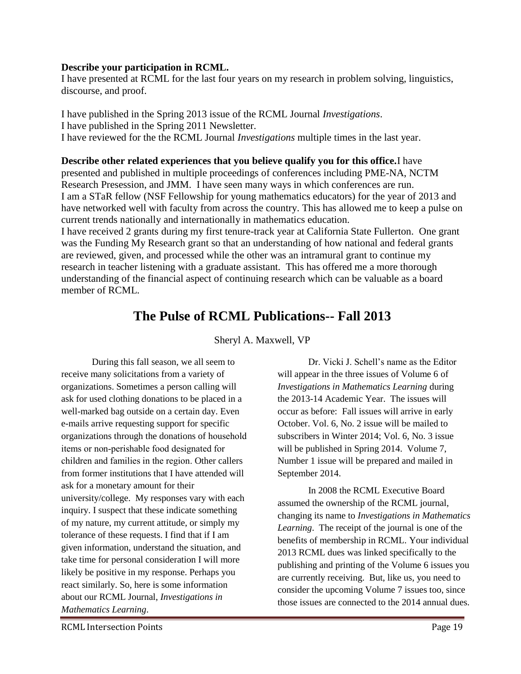#### **Describe your participation in RCML.**

I have presented at RCML for the last four years on my research in problem solving, linguistics, discourse, and proof.

I have published in the Spring 2013 issue of the RCML Journal *Investigations*. I have published in the Spring 2011 Newsletter. I have reviewed for the the RCML Journal *Investigations* multiple times in the last year.

**Describe other related experiences that you believe qualify you for this office.**I have presented and published in multiple proceedings of conferences including PME-NA, NCTM Research Presession, and JMM. I have seen many ways in which conferences are run. I am a STaR fellow (NSF Fellowship for young mathematics educators) for the year of 2013 and have networked well with faculty from across the country. This has allowed me to keep a pulse on current trends nationally and internationally in mathematics education.

I have received 2 grants during my first tenure-track year at California State Fullerton. One grant was the Funding My Research grant so that an understanding of how national and federal grants are reviewed, given, and processed while the other was an intramural grant to continue my research in teacher listening with a graduate assistant. This has offered me a more thorough understanding of the financial aspect of continuing research which can be valuable as a board member of RCML.

### **The Pulse of RCML Publications-- Fall 2013**

Sheryl A. Maxwell, VP

During this fall season, we all seem to receive many solicitations from a variety of organizations. Sometimes a person calling will ask for used clothing donations to be placed in a well-marked bag outside on a certain day. Even e-mails arrive requesting support for specific organizations through the donations of household items or non-perishable food designated for children and families in the region. Other callers from former institutions that I have attended will ask for a monetary amount for their university/college. My responses vary with each inquiry. I suspect that these indicate something of my nature, my current attitude, or simply my tolerance of these requests. I find that if I am given information, understand the situation, and take time for personal consideration I will more likely be positive in my response. Perhaps you react similarly. So, here is some information about our RCML Journal, *Investigations in Mathematics Learning*.

Dr. Vicki J. Schell's name as the Editor will appear in the three issues of Volume 6 of *Investigations in Mathematics Learning* during the 2013-14 Academic Year.The issues will occur as before: Fall issues will arrive in early October. Vol. 6, No. 2 issue will be mailed to subscribers in Winter 2014; Vol. 6, No. 3 issue will be published in Spring 2014. Volume 7, Number 1 issue will be prepared and mailed in September 2014.

In 2008 the RCML Executive Board assumed the ownership of the RCML journal, changing its name to *Investigations in Mathematics Learning*. The receipt of the journal is one of the benefits of membership in RCML. Your individual 2013 RCML dues was linked specifically to the publishing and printing of the Volume 6 issues you are currently receiving. But, like us, you need to consider the upcoming Volume 7 issues too, since those issues are connected to the 2014 annual dues.